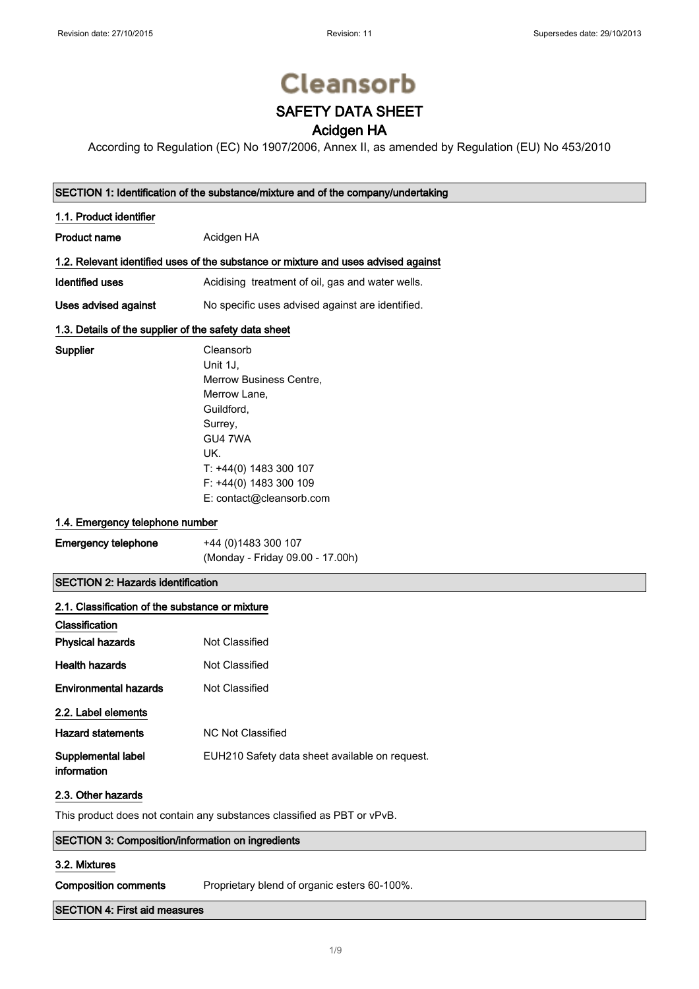# **Cleansorb**

### SAFETY DATA SHEET

### Acidgen HA

According to Regulation (EC) No 1907/2006, Annex II, as amended by Regulation (EU) No 453/2010

#### SECTION 1: Identification of the substance/mixture and of the company/undertaking

#### 1.1. Product identifier

Supplier

Product name **Acidgen HA** 

#### 1.2. Relevant identified uses of the substance or mixture and uses advised against

Identified uses **Acidising treatment of oil, gas and water wells.** 

Uses advised against No specific uses advised against are identified.

#### 1.3. Details of the supplier of the safety data sheet

| Cleansorb                |
|--------------------------|
| Unit 1J.                 |
| Merrow Business Centre.  |
| Merrow Lane,             |
| Guildford,               |
| Surrey,                  |
| GU4 7WA                  |
| UK.                      |
| T: +44(0) 1483 300 107   |
| F: +44(0) 1483 300 109   |
| E: contact@cleansorb.com |

#### 1.4. Emergency telephone number

| <b>Emergency telephone</b> | +44 (0) 1483 300 107             |
|----------------------------|----------------------------------|
|                            | (Monday - Friday 09.00 - 17.00h) |

#### SECTION 2: Hazards identification

| 2.1. Classification of the substance or mixture |                                                |
|-------------------------------------------------|------------------------------------------------|
| Classification                                  |                                                |
| <b>Physical hazards</b>                         | Not Classified                                 |
| <b>Health hazards</b>                           | Not Classified                                 |
| <b>Environmental hazards</b>                    | Not Classified                                 |
| 2.2. Label elements                             |                                                |
| <b>Hazard statements</b>                        | NC Not Classified                              |
| Supplemental label<br>information               | EUH210 Safety data sheet available on request. |

#### 2.3. Other hazards

This product does not contain any substances classified as PBT or vPvB.

# SECTION 3: Composition/information on ingredients

#### 3.2. Mixtures

Composition comments Proprietary blend of organic esters 60-100%.

#### SECTION 4: First aid measures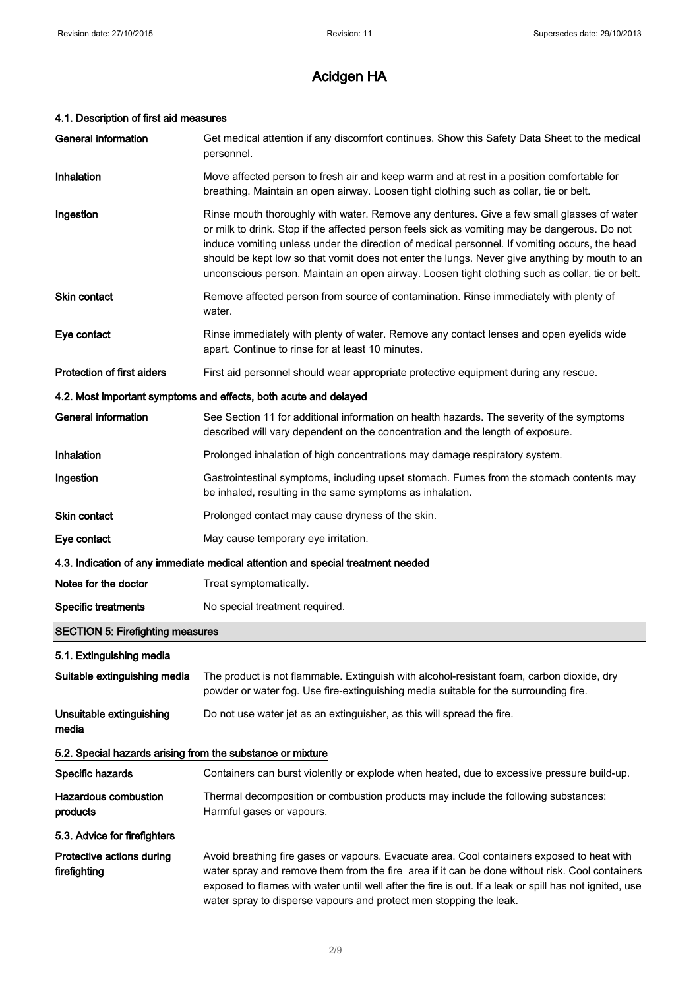### 4.1. Description of first aid measures

| <b>General information</b>                                       | Get medical attention if any discomfort continues. Show this Safety Data Sheet to the medical<br>personnel.                                                                                                                                                                                                                                                                                                                                                                                     |  |
|------------------------------------------------------------------|-------------------------------------------------------------------------------------------------------------------------------------------------------------------------------------------------------------------------------------------------------------------------------------------------------------------------------------------------------------------------------------------------------------------------------------------------------------------------------------------------|--|
| Inhalation                                                       | Move affected person to fresh air and keep warm and at rest in a position comfortable for<br>breathing. Maintain an open airway. Loosen tight clothing such as collar, tie or belt.                                                                                                                                                                                                                                                                                                             |  |
| Ingestion                                                        | Rinse mouth thoroughly with water. Remove any dentures. Give a few small glasses of water<br>or milk to drink. Stop if the affected person feels sick as vomiting may be dangerous. Do not<br>induce vomiting unless under the direction of medical personnel. If vomiting occurs, the head<br>should be kept low so that vomit does not enter the lungs. Never give anything by mouth to an<br>unconscious person. Maintain an open airway. Loosen tight clothing such as collar, tie or belt. |  |
| Skin contact                                                     | Remove affected person from source of contamination. Rinse immediately with plenty of<br>water.                                                                                                                                                                                                                                                                                                                                                                                                 |  |
| Eye contact                                                      | Rinse immediately with plenty of water. Remove any contact lenses and open eyelids wide<br>apart. Continue to rinse for at least 10 minutes.                                                                                                                                                                                                                                                                                                                                                    |  |
| Protection of first aiders                                       | First aid personnel should wear appropriate protective equipment during any rescue.                                                                                                                                                                                                                                                                                                                                                                                                             |  |
| 4.2. Most important symptoms and effects, both acute and delayed |                                                                                                                                                                                                                                                                                                                                                                                                                                                                                                 |  |
| <b>General information</b>                                       | See Section 11 for additional information on health hazards. The severity of the symptoms<br>described will vary dependent on the concentration and the length of exposure.                                                                                                                                                                                                                                                                                                                     |  |
| Inhalation                                                       | Prolonged inhalation of high concentrations may damage respiratory system.                                                                                                                                                                                                                                                                                                                                                                                                                      |  |
| Ingestion                                                        | Gastrointestinal symptoms, including upset stomach. Fumes from the stomach contents may<br>be inhaled, resulting in the same symptoms as inhalation.                                                                                                                                                                                                                                                                                                                                            |  |
| <b>Skin contact</b>                                              | Prolonged contact may cause dryness of the skin.                                                                                                                                                                                                                                                                                                                                                                                                                                                |  |
| Eye contact                                                      | May cause temporary eye irritation.                                                                                                                                                                                                                                                                                                                                                                                                                                                             |  |
|                                                                  | 4.3. Indication of any immediate medical attention and special treatment needed                                                                                                                                                                                                                                                                                                                                                                                                                 |  |
| Notes for the doctor                                             | Treat symptomatically.                                                                                                                                                                                                                                                                                                                                                                                                                                                                          |  |
| <b>Specific treatments</b>                                       | No special treatment required.                                                                                                                                                                                                                                                                                                                                                                                                                                                                  |  |
| <b>SECTION 5: Firefighting measures</b>                          |                                                                                                                                                                                                                                                                                                                                                                                                                                                                                                 |  |
| 5.1. Extinguishing media                                         |                                                                                                                                                                                                                                                                                                                                                                                                                                                                                                 |  |
| Suitable extinguishing media                                     | The product is not flammable. Extinguish with alcohol-resistant foam, carbon dioxide, dry<br>powder or water fog. Use fire-extinguishing media suitable for the surrounding fire.                                                                                                                                                                                                                                                                                                               |  |
| Unsuitable extinguishing<br>media                                | Do not use water jet as an extinguisher, as this will spread the fire.                                                                                                                                                                                                                                                                                                                                                                                                                          |  |
| 5.2. Special hazards arising from the substance or mixture       |                                                                                                                                                                                                                                                                                                                                                                                                                                                                                                 |  |
| Specific hazards                                                 | Containers can burst violently or explode when heated, due to excessive pressure build-up.                                                                                                                                                                                                                                                                                                                                                                                                      |  |
| <b>Hazardous combustion</b><br>products                          | Thermal decomposition or combustion products may include the following substances:<br>Harmful gases or vapours.                                                                                                                                                                                                                                                                                                                                                                                 |  |
| 5.3. Advice for firefighters                                     |                                                                                                                                                                                                                                                                                                                                                                                                                                                                                                 |  |
| Protective actions during<br>firefighting                        | Avoid breathing fire gases or vapours. Evacuate area. Cool containers exposed to heat with<br>water spray and remove them from the fire area if it can be done without risk. Cool containers<br>exposed to flames with water until well after the fire is out. If a leak or spill has not ignited, use                                                                                                                                                                                          |  |

water spray to disperse vapours and protect men stopping the leak.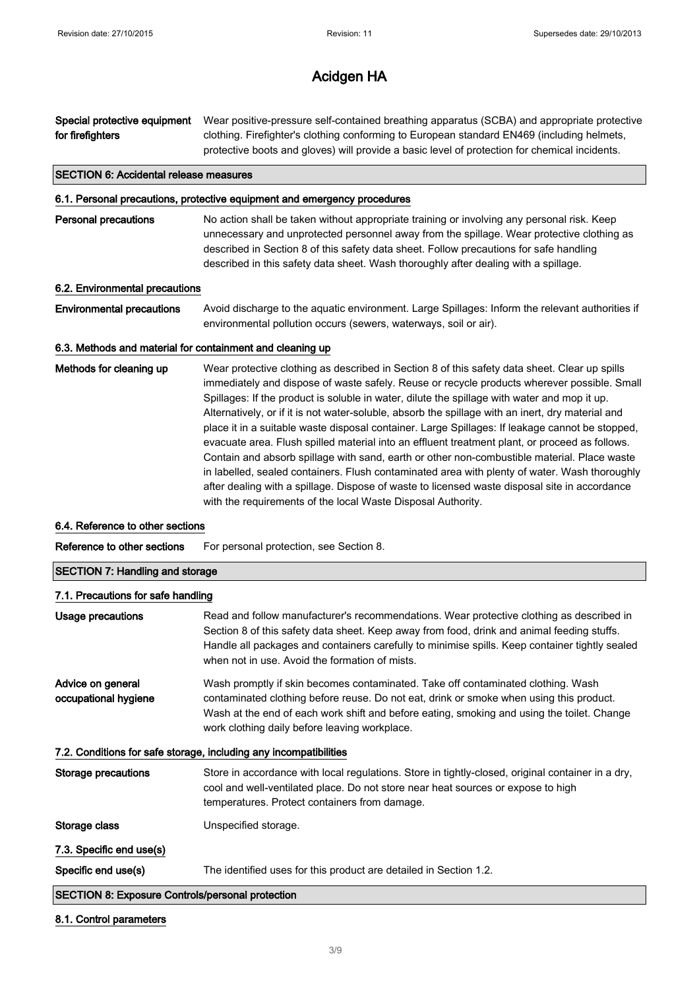Special protective equipment for firefighters Wear positive-pressure self-contained breathing apparatus (SCBA) and appropriate protective clothing. Firefighter's clothing conforming to European standard EN469 (including helmets, protective boots and gloves) will provide a basic level of protection for chemical incidents.

#### SECTION 6: Accidental release measures

#### 6.1. Personal precautions, protective equipment and emergency procedures

**Personal precautions** No action shall be taken without appropriate training or involving any personal risk. Keep unnecessary and unprotected personnel away from the spillage. Wear protective clothing as described in Section 8 of this safety data sheet. Follow precautions for safe handling described in this safety data sheet. Wash thoroughly after dealing with a spillage.

#### 6.2. Environmental precautions

Environmental precautions Avoid discharge to the aquatic environment. Large Spillages: Inform the relevant authorities if environmental pollution occurs (sewers, waterways, soil or air).

#### 6.3. Methods and material for containment and cleaning up

Methods for cleaning up Wear protective clothing as described in Section 8 of this safety data sheet. Clear up spills immediately and dispose of waste safely. Reuse or recycle products wherever possible. Small Spillages: If the product is soluble in water, dilute the spillage with water and mop it up. Alternatively, or if it is not water-soluble, absorb the spillage with an inert, dry material and place it in a suitable waste disposal container. Large Spillages: If leakage cannot be stopped, evacuate area. Flush spilled material into an effluent treatment plant, or proceed as follows. Contain and absorb spillage with sand, earth or other non-combustible material. Place waste in labelled, sealed containers. Flush contaminated area with plenty of water. Wash thoroughly after dealing with a spillage. Dispose of waste to licensed waste disposal site in accordance with the requirements of the local Waste Disposal Authority.

#### 6.4. Reference to other sections

Reference to other sections For personal protection, see Section 8.

#### SECTION 7: Handling and storage

#### 7.1. Precautions for safe handling

| Usage precautions                                                 | Read and follow manufacturer's recommendations. Wear protective clothing as described in<br>Section 8 of this safety data sheet. Keep away from food, drink and animal feeding stuffs.<br>Handle all packages and containers carefully to minimise spills. Keep container tightly sealed<br>when not in use. Avoid the formation of mists. |  |
|-------------------------------------------------------------------|--------------------------------------------------------------------------------------------------------------------------------------------------------------------------------------------------------------------------------------------------------------------------------------------------------------------------------------------|--|
| Advice on general<br>occupational hygiene                         | Wash promptly if skin becomes contaminated. Take off contaminated clothing. Wash<br>contaminated clothing before reuse. Do not eat, drink or smoke when using this product.<br>Wash at the end of each work shift and before eating, smoking and using the toilet. Change<br>work clothing daily before leaving workplace.                 |  |
| 7.2. Conditions for safe storage, including any incompatibilities |                                                                                                                                                                                                                                                                                                                                            |  |
| Storage precautions                                               | Store in accordance with local regulations. Store in tightly-closed, original container in a dry,<br>cool and well-ventilated place. Do not store near heat sources or expose to high<br>temperatures. Protect containers from damage.                                                                                                     |  |
| Storage class                                                     | Unspecified storage.                                                                                                                                                                                                                                                                                                                       |  |
| 7.3. Specific end use(s)                                          |                                                                                                                                                                                                                                                                                                                                            |  |
| Specific end use(s)                                               | The identified uses for this product are detailed in Section 1.2.                                                                                                                                                                                                                                                                          |  |
| <b>SECTION 8: Exposure Controls/personal protection</b>           |                                                                                                                                                                                                                                                                                                                                            |  |

#### 8.1. Control parameters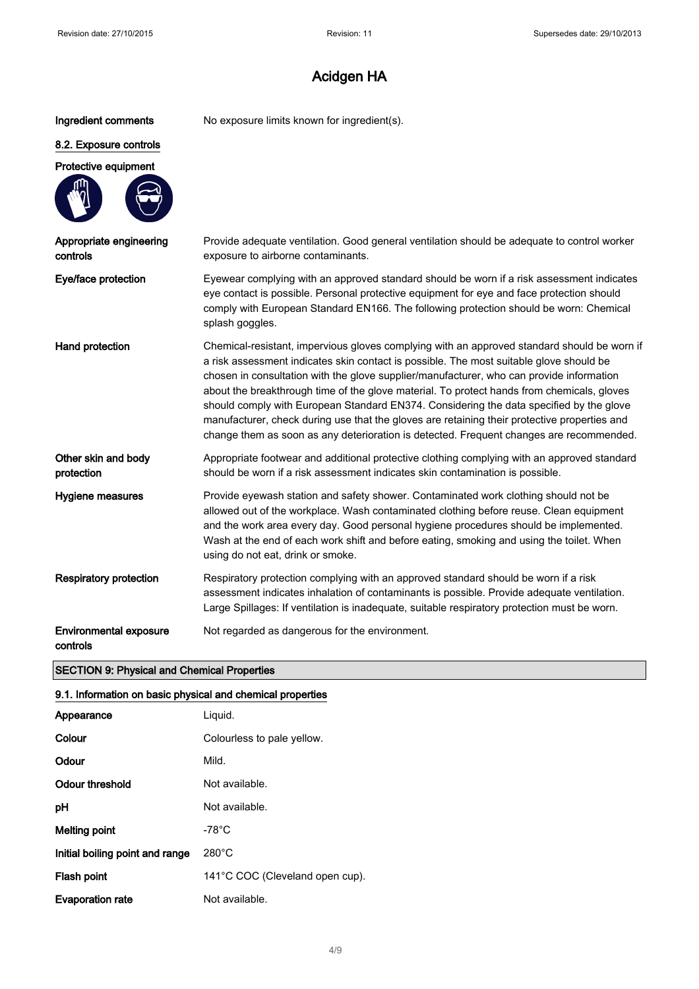Ingredient comments No exposure limits known for ingredient(s).

# 8.2. Exposure controls

# Protective equipment

| Appropriate engineering<br>controls       | Provide adequate ventilation. Good general ventilation should be adequate to control worker<br>exposure to airborne contaminants.                                                                                                                                                                                                                                                                                                                                                                                                                                                                                                                                      |
|-------------------------------------------|------------------------------------------------------------------------------------------------------------------------------------------------------------------------------------------------------------------------------------------------------------------------------------------------------------------------------------------------------------------------------------------------------------------------------------------------------------------------------------------------------------------------------------------------------------------------------------------------------------------------------------------------------------------------|
| Eye/face protection                       | Eyewear complying with an approved standard should be worn if a risk assessment indicates<br>eye contact is possible. Personal protective equipment for eye and face protection should<br>comply with European Standard EN166. The following protection should be worn: Chemical<br>splash goggles.                                                                                                                                                                                                                                                                                                                                                                    |
| Hand protection                           | Chemical-resistant, impervious gloves complying with an approved standard should be worn if<br>a risk assessment indicates skin contact is possible. The most suitable glove should be<br>chosen in consultation with the glove supplier/manufacturer, who can provide information<br>about the breakthrough time of the glove material. To protect hands from chemicals, gloves<br>should comply with European Standard EN374. Considering the data specified by the glove<br>manufacturer, check during use that the gloves are retaining their protective properties and<br>change them as soon as any deterioration is detected. Frequent changes are recommended. |
| Other skin and body<br>protection         | Appropriate footwear and additional protective clothing complying with an approved standard<br>should be worn if a risk assessment indicates skin contamination is possible.                                                                                                                                                                                                                                                                                                                                                                                                                                                                                           |
| Hygiene measures                          | Provide eyewash station and safety shower. Contaminated work clothing should not be<br>allowed out of the workplace. Wash contaminated clothing before reuse. Clean equipment<br>and the work area every day. Good personal hygiene procedures should be implemented.<br>Wash at the end of each work shift and before eating, smoking and using the toilet. When<br>using do not eat, drink or smoke.                                                                                                                                                                                                                                                                 |
| <b>Respiratory protection</b>             | Respiratory protection complying with an approved standard should be worn if a risk<br>assessment indicates inhalation of contaminants is possible. Provide adequate ventilation.<br>Large Spillages: If ventilation is inadequate, suitable respiratory protection must be worn.                                                                                                                                                                                                                                                                                                                                                                                      |
| <b>Environmental exposure</b><br>controls | Not regarded as dangerous for the environment.                                                                                                                                                                                                                                                                                                                                                                                                                                                                                                                                                                                                                         |

#### SECTION 9: Physical and Chemical Properties

#### 9.1. Information on basic physical and chemical properties

| Appearance                      | Liguid.                         |
|---------------------------------|---------------------------------|
| Colour                          | Colourless to pale yellow.      |
| Odour                           | Mild.                           |
| Odour threshold                 | Not available.                  |
| рH                              | Not available.                  |
| <b>Melting point</b>            | $-78^{\circ}$ C                 |
| Initial boiling point and range | $280^{\circ}$ C                 |
| Flash point                     | 141°C COC (Cleveland open cup). |
| <b>Evaporation rate</b>         | Not available.                  |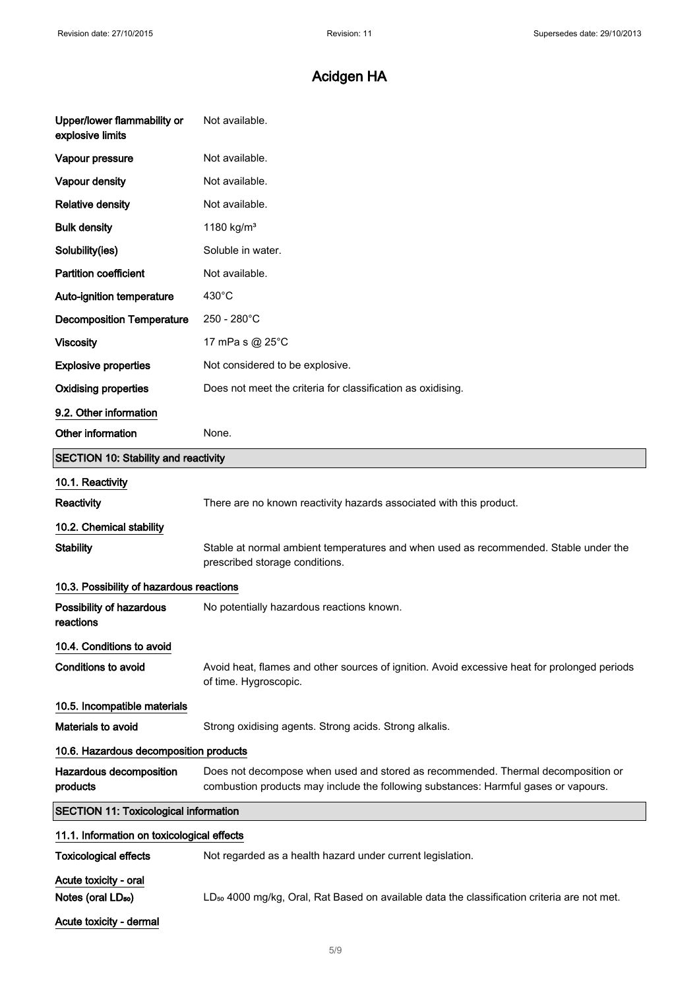| Upper/lower flammability or<br>explosive limits         | Not available.                                                                                                                                                          |  |
|---------------------------------------------------------|-------------------------------------------------------------------------------------------------------------------------------------------------------------------------|--|
| Vapour pressure                                         | Not available.                                                                                                                                                          |  |
| Vapour density                                          | Not available.                                                                                                                                                          |  |
| <b>Relative density</b>                                 | Not available.                                                                                                                                                          |  |
| <b>Bulk density</b>                                     | 1180 kg/m <sup>3</sup>                                                                                                                                                  |  |
| Solubility(ies)                                         | Soluble in water.                                                                                                                                                       |  |
| <b>Partition coefficient</b>                            | Not available.                                                                                                                                                          |  |
| Auto-ignition temperature                               | $430^{\circ}$ C                                                                                                                                                         |  |
| <b>Decomposition Temperature</b>                        | 250 - 280°C                                                                                                                                                             |  |
| <b>Viscosity</b>                                        | 17 mPa s @ 25°C                                                                                                                                                         |  |
| <b>Explosive properties</b>                             | Not considered to be explosive.                                                                                                                                         |  |
| <b>Oxidising properties</b>                             | Does not meet the criteria for classification as oxidising.                                                                                                             |  |
| 9.2. Other information                                  |                                                                                                                                                                         |  |
| Other information                                       | None.                                                                                                                                                                   |  |
| <b>SECTION 10: Stability and reactivity</b>             |                                                                                                                                                                         |  |
| 10.1. Reactivity                                        |                                                                                                                                                                         |  |
| Reactivity                                              | There are no known reactivity hazards associated with this product.                                                                                                     |  |
| 10.2. Chemical stability                                |                                                                                                                                                                         |  |
| <b>Stability</b>                                        | Stable at normal ambient temperatures and when used as recommended. Stable under the<br>prescribed storage conditions.                                                  |  |
| 10.3. Possibility of hazardous reactions                |                                                                                                                                                                         |  |
| Possibility of hazardous<br>reactions                   | No potentially hazardous reactions known.                                                                                                                               |  |
| 10.4. Conditions to avoid                               |                                                                                                                                                                         |  |
| <b>Conditions to avoid</b>                              | Avoid heat, flames and other sources of ignition. Avoid excessive heat for prolonged periods<br>of time. Hygroscopic.                                                   |  |
| 10.5. Incompatible materials                            |                                                                                                                                                                         |  |
| Materials to avoid                                      | Strong oxidising agents. Strong acids. Strong alkalis.                                                                                                                  |  |
| 10.6. Hazardous decomposition products                  |                                                                                                                                                                         |  |
| Hazardous decomposition<br>products                     | Does not decompose when used and stored as recommended. Thermal decomposition or<br>combustion products may include the following substances: Harmful gases or vapours. |  |
| <b>SECTION 11: Toxicological information</b>            |                                                                                                                                                                         |  |
| 11.1. Information on toxicological effects              |                                                                                                                                                                         |  |
| <b>Toxicological effects</b>                            | Not regarded as a health hazard under current legislation.                                                                                                              |  |
| Acute toxicity - oral<br>Notes (oral LD <sub>50</sub> ) | LD <sub>50</sub> 4000 mg/kg, Oral, Rat Based on available data the classification criteria are not met.                                                                 |  |
| Acute toxicity - dermal                                 |                                                                                                                                                                         |  |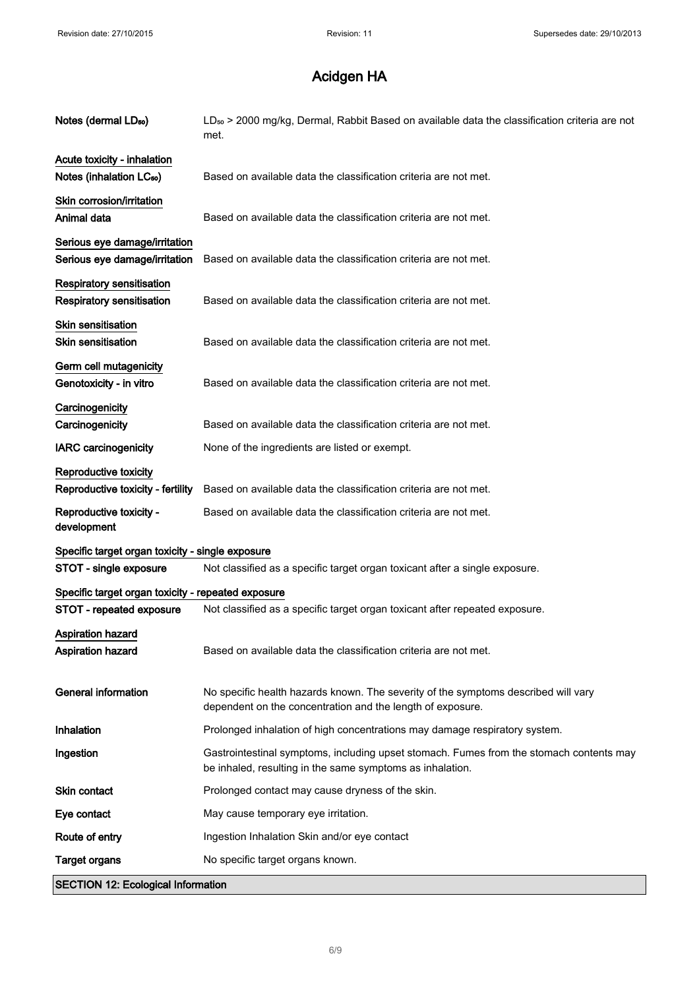| Notes (dermal LD <sub>50</sub> )                       | LD <sub>50</sub> > 2000 mg/kg, Dermal, Rabbit Based on available data the classification criteria are not<br>met.                                    |
|--------------------------------------------------------|------------------------------------------------------------------------------------------------------------------------------------------------------|
| Acute toxicity - inhalation                            |                                                                                                                                                      |
| Notes (inhalation LC <sub>50</sub> )                   | Based on available data the classification criteria are not met.                                                                                     |
| Skin corrosion/irritation                              |                                                                                                                                                      |
| Animal data                                            | Based on available data the classification criteria are not met.                                                                                     |
| Serious eye damage/irritation                          |                                                                                                                                                      |
| Serious eye damage/irritation                          | Based on available data the classification criteria are not met.                                                                                     |
|                                                        |                                                                                                                                                      |
| Respiratory sensitisation<br>Respiratory sensitisation | Based on available data the classification criteria are not met.                                                                                     |
|                                                        |                                                                                                                                                      |
| Skin sensitisation                                     |                                                                                                                                                      |
| <b>Skin sensitisation</b>                              | Based on available data the classification criteria are not met.                                                                                     |
| Germ cell mutagenicity                                 |                                                                                                                                                      |
| Genotoxicity - in vitro                                | Based on available data the classification criteria are not met.                                                                                     |
| Carcinogenicity                                        |                                                                                                                                                      |
| Carcinogenicity                                        | Based on available data the classification criteria are not met.                                                                                     |
| <b>IARC</b> carcinogenicity                            | None of the ingredients are listed or exempt.                                                                                                        |
| Reproductive toxicity                                  |                                                                                                                                                      |
| Reproductive toxicity - fertility                      | Based on available data the classification criteria are not met.                                                                                     |
| Reproductive toxicity -<br>development                 | Based on available data the classification criteria are not met.                                                                                     |
| Specific target organ toxicity - single exposure       |                                                                                                                                                      |
| STOT - single exposure                                 | Not classified as a specific target organ toxicant after a single exposure.                                                                          |
| Specific target organ toxicity - repeated exposure     |                                                                                                                                                      |
| STOT - repeated exposure                               | Not classified as a specific target organ toxicant after repeated exposure.                                                                          |
| <b>Aspiration hazard</b>                               |                                                                                                                                                      |
| <b>Aspiration hazard</b>                               | Based on available data the classification criteria are not met.                                                                                     |
|                                                        |                                                                                                                                                      |
| <b>General information</b>                             | No specific health hazards known. The severity of the symptoms described will vary                                                                   |
|                                                        | dependent on the concentration and the length of exposure.                                                                                           |
| <b>Inhalation</b>                                      | Prolonged inhalation of high concentrations may damage respiratory system.                                                                           |
| Ingestion                                              | Gastrointestinal symptoms, including upset stomach. Fumes from the stomach contents may<br>be inhaled, resulting in the same symptoms as inhalation. |
| <b>Skin contact</b>                                    | Prolonged contact may cause dryness of the skin.                                                                                                     |
| Eye contact                                            | May cause temporary eye irritation.                                                                                                                  |
| Route of entry                                         | Ingestion Inhalation Skin and/or eye contact                                                                                                         |
| <b>Target organs</b>                                   | No specific target organs known.                                                                                                                     |
|                                                        |                                                                                                                                                      |
| <b>SECTION 12: Ecological Information</b>              |                                                                                                                                                      |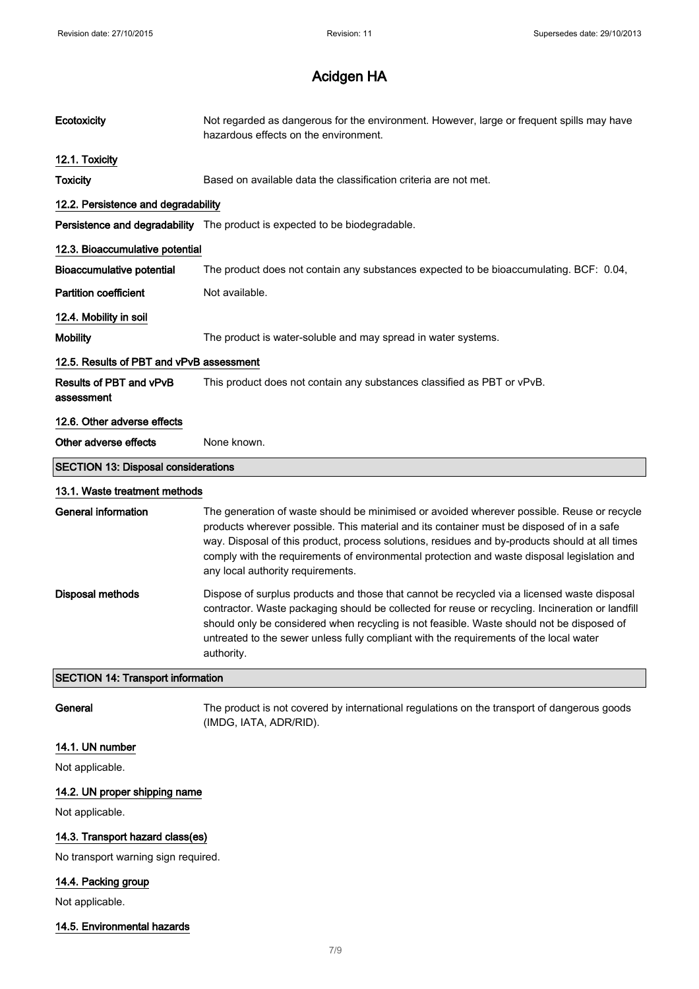| Ecotoxicity                                | Not regarded as dangerous for the environment. However, large or frequent spills may have<br>hazardous effects on the environment.                                                                                                                                                                                                                                                                                            |  |
|--------------------------------------------|-------------------------------------------------------------------------------------------------------------------------------------------------------------------------------------------------------------------------------------------------------------------------------------------------------------------------------------------------------------------------------------------------------------------------------|--|
| 12.1. Toxicity                             |                                                                                                                                                                                                                                                                                                                                                                                                                               |  |
| <b>Toxicity</b>                            | Based on available data the classification criteria are not met.                                                                                                                                                                                                                                                                                                                                                              |  |
| 12.2. Persistence and degradability        |                                                                                                                                                                                                                                                                                                                                                                                                                               |  |
|                                            | Persistence and degradability The product is expected to be biodegradable.                                                                                                                                                                                                                                                                                                                                                    |  |
| 12.3. Bioaccumulative potential            |                                                                                                                                                                                                                                                                                                                                                                                                                               |  |
| <b>Bioaccumulative potential</b>           | The product does not contain any substances expected to be bioaccumulating. BCF: 0.04,                                                                                                                                                                                                                                                                                                                                        |  |
| <b>Partition coefficient</b>               | Not available.                                                                                                                                                                                                                                                                                                                                                                                                                |  |
| 12.4. Mobility in soil                     |                                                                                                                                                                                                                                                                                                                                                                                                                               |  |
| <b>Mobility</b>                            | The product is water-soluble and may spread in water systems.                                                                                                                                                                                                                                                                                                                                                                 |  |
| 12.5. Results of PBT and vPvB assessment   |                                                                                                                                                                                                                                                                                                                                                                                                                               |  |
| Results of PBT and vPvB<br>assessment      | This product does not contain any substances classified as PBT or vPvB.                                                                                                                                                                                                                                                                                                                                                       |  |
| 12.6. Other adverse effects                |                                                                                                                                                                                                                                                                                                                                                                                                                               |  |
| Other adverse effects                      | None known.                                                                                                                                                                                                                                                                                                                                                                                                                   |  |
| <b>SECTION 13: Disposal considerations</b> |                                                                                                                                                                                                                                                                                                                                                                                                                               |  |
| 13.1. Waste treatment methods              |                                                                                                                                                                                                                                                                                                                                                                                                                               |  |
| <b>General information</b>                 | The generation of waste should be minimised or avoided wherever possible. Reuse or recycle<br>products wherever possible. This material and its container must be disposed of in a safe<br>way. Disposal of this product, process solutions, residues and by-products should at all times<br>comply with the requirements of environmental protection and waste disposal legislation and<br>any local authority requirements. |  |
| <b>Disposal methods</b>                    | Dispose of surplus products and those that cannot be recycled via a licensed waste disposal<br>contractor. Waste packaging should be collected for reuse or recycling. Incineration or landfill<br>should only be considered when recycling is not feasible. Waste should not be disposed of<br>untreated to the sewer unless fully compliant with the requirements of the local water<br>authority.                          |  |
| <b>SECTION 14: Transport information</b>   |                                                                                                                                                                                                                                                                                                                                                                                                                               |  |
| General                                    | The product is not covered by international regulations on the transport of dangerous goods<br>(IMDG, IATA, ADR/RID).                                                                                                                                                                                                                                                                                                         |  |
| 14.1. UN number                            |                                                                                                                                                                                                                                                                                                                                                                                                                               |  |
| Not applicable.                            |                                                                                                                                                                                                                                                                                                                                                                                                                               |  |
| 14.2. UN proper shipping name              |                                                                                                                                                                                                                                                                                                                                                                                                                               |  |
| Not applicable.                            |                                                                                                                                                                                                                                                                                                                                                                                                                               |  |

14.3. Transport hazard class(es)

No transport warning sign required.

### 14.4. Packing group

Not applicable.

#### 14.5. Environmental hazards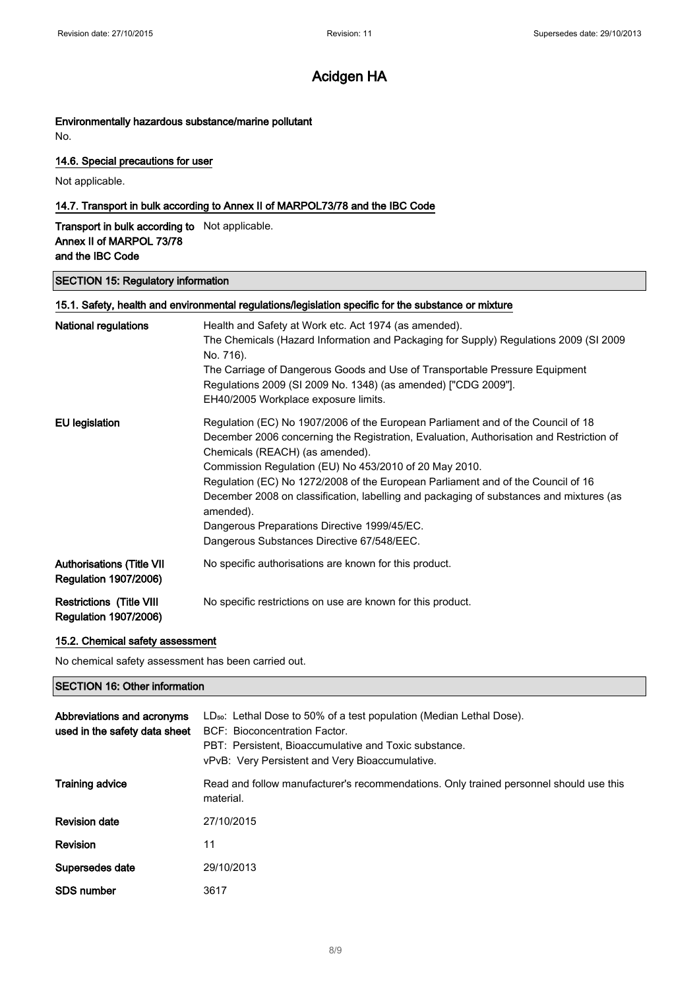#### Environmentally hazardous substance/marine pollutant

No.

#### 14.6. Special precautions for user

Not applicable.

#### 14.7. Transport in bulk according to Annex II of MARPOL73/78 and the IBC Code

Transport in bulk according to Not applicable. Annex II of MARPOL 73/78 and the IBC Code

#### SECTION 15: Regulatory information

| 15.1. Safety, health and environmental regulations/legislation specific for the substance or mixture |                                                                                                                                                                                                                                                                                                                                                                                                                                                                                                                                                                    |  |
|------------------------------------------------------------------------------------------------------|--------------------------------------------------------------------------------------------------------------------------------------------------------------------------------------------------------------------------------------------------------------------------------------------------------------------------------------------------------------------------------------------------------------------------------------------------------------------------------------------------------------------------------------------------------------------|--|
| <b>National regulations</b>                                                                          | Health and Safety at Work etc. Act 1974 (as amended).<br>The Chemicals (Hazard Information and Packaging for Supply) Regulations 2009 (SI 2009<br>No. 716).<br>The Carriage of Dangerous Goods and Use of Transportable Pressure Equipment<br>Regulations 2009 (SI 2009 No. 1348) (as amended) ["CDG 2009"].<br>EH40/2005 Workplace exposure limits.                                                                                                                                                                                                               |  |
| EU legislation                                                                                       | Regulation (EC) No 1907/2006 of the European Parliament and of the Council of 18<br>December 2006 concerning the Registration, Evaluation, Authorisation and Restriction of<br>Chemicals (REACH) (as amended).<br>Commission Regulation (EU) No 453/2010 of 20 May 2010.<br>Regulation (EC) No 1272/2008 of the European Parliament and of the Council of 16<br>December 2008 on classification, labelling and packaging of substances and mixtures (as<br>amended).<br>Dangerous Preparations Directive 1999/45/EC.<br>Dangerous Substances Directive 67/548/EEC. |  |
| <b>Authorisations (Title VII</b><br><b>Regulation 1907/2006)</b>                                     | No specific authorisations are known for this product.                                                                                                                                                                                                                                                                                                                                                                                                                                                                                                             |  |
| <b>Restrictions (Title VIII</b><br><b>Regulation 1907/2006)</b>                                      | No specific restrictions on use are known for this product.                                                                                                                                                                                                                                                                                                                                                                                                                                                                                                        |  |

#### 15.2. Chemical safety assessment

No chemical safety assessment has been carried out.

#### SECTION 16: Other information

| Abbreviations and acronyms<br>used in the safety data sheet | LD <sub>so</sub> : Lethal Dose to 50% of a test population (Median Lethal Dose).<br>BCF: Bioconcentration Factor.<br>PBT: Persistent, Bioaccumulative and Toxic substance.<br>vPvB: Very Persistent and Very Bioaccumulative. |
|-------------------------------------------------------------|-------------------------------------------------------------------------------------------------------------------------------------------------------------------------------------------------------------------------------|
| <b>Training advice</b>                                      | Read and follow manufacturer's recommendations. Only trained personnel should use this<br>material.                                                                                                                           |
| <b>Revision date</b>                                        | 27/10/2015                                                                                                                                                                                                                    |
| Revision                                                    | 11                                                                                                                                                                                                                            |
| Supersedes date                                             | 29/10/2013                                                                                                                                                                                                                    |
| <b>SDS number</b>                                           | 3617                                                                                                                                                                                                                          |